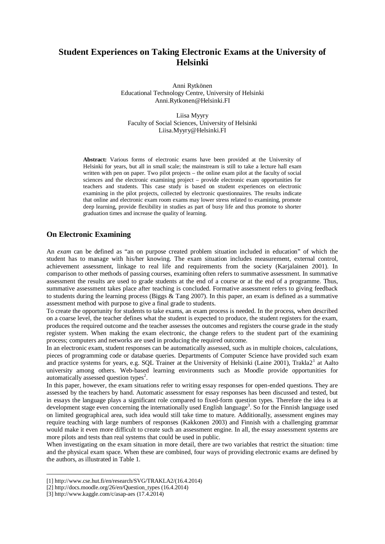# **Student Experiences on Taking Electronic Exams at the University of Helsinki**

Anni Rytkönen Educational Technology Centre, University of Helsinki Anni.Rytkonen@Helsinki.FI

Liisa Myyry Faculty of Social Sciences, University of Helsinki Liisa.Myyry@Helsinki.FI

**Abstract:** Various forms of electronic exams have been provided at the University of Helsinki for years, but all in small scale; the mainstream is still to take a lecture hall exam written with pen on paper. Two pilot projects – the online exam pilot at the faculty of social sciences and the electronic examining project – provide electronic exam opportunities for teachers and students. This case study is based on student experiences on electronic examining in the pilot projects, collected by electronic questionnaires. The results indicate that online and electronic exam room exams may lower stress related to examining, promote deep learning, provide flexibility in studies as part of busy life and thus promote to shorter graduation times and increase the quality of learning.

### **On Electronic Examining**

An *exam* can be defined as "an on purpose created problem situation included in education" of which the student has to manage with his/her knowing. The exam situation includes measurement, external control, achievement assessment, linkage to real life and requirements from the society (Karjalainen 2001). In comparison to other methods of passing courses, examining often refers to summative assessment. In summative assessment the results are used to grade students at the end of a course or at the end of a programme. Thus, summative assessment takes place after teaching is concluded. Formative assessment refers to giving feedback to students during the learning process (Biggs & Tang 2007). In this paper, an exam is defined as a summative assessment method with purpose to give a final grade to students.

To create the opportunity for students to take exams, an exam process is needed. In the process, when described on a coarse level, the teacher defines what the student is expected to produce, the student registers for the exam, produces the required outcome and the teacher assesses the outcomes and registers the course grade in the study register system. When making the exam electronic, the change refers to the student part of the examining process; computers and networks are used in producing the required outcome.

In an electronic exam, student responses can be automatically assessed, such as in multiple choices, calculations, pieces of programming code or database queries. Departments of Computer Science have provided such exam and practice systems for years, e.g. SQL Trainer at the University of Helsinki (Laine 2001), Trakla2<sup>1</sup> at Aalto university among others. Web-based learning environments such as Moodle provide opportunities for automatically assessed question types<sup>2</sup>.

In this paper, however, the exam situations refer to writing essay responses for open-ended questions. They are assessed by the teachers by hand. Automatic assessment for essay responses has been discussed and tested, but in essays the language plays a significant role compared to fixed-form question types. Therefore the idea is at development stage even concerning the internationally used English language<sup>3</sup>. So for the Finnish language used on limited geographical area, such idea would still take time to mature. Additionally, assessment engines may require teaching with large numbers of responses (Kakkonen 2003) and Finnish with a challenging grammar would make it even more difficult to create such an assessment engine. In all, the essay assessment systems are more pilots and tests than real systems that could be used in public.

When investigating on the exam situation in more detail, there are two variables that restrict the situation: time and the physical exam space. When these are combined, four ways of providing electronic exams are defined by the authors, as illustrated in Table 1.

<sup>[1]</sup> http://www.cse.hut.fi/en/research/SVG/TRAKLA2/(16.4.2014)

<sup>[2]</sup> http://docs.moodle.org/26/en/Question\_types (16.4.2014)

<sup>[3]</sup> http://www.kaggle.com/c/asap-aes (17.4.2014)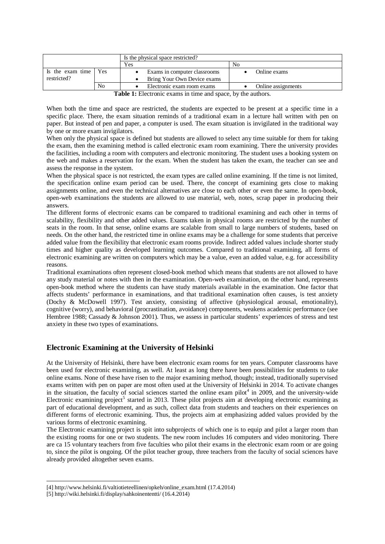|                                                              |    | Is the physical space restricted? |                    |  |
|--------------------------------------------------------------|----|-----------------------------------|--------------------|--|
|                                                              |    | Yes                               | No                 |  |
| Is the exam time   Yes                                       |    | Exams in computer classrooms      | Online exams       |  |
| restricted?                                                  |    | Bring Your Own Device exams       |                    |  |
|                                                              | No | Electronic exam room exams        | Online assignments |  |
| Table 1: Floctronic events in time and space, by the outbors |    |                                   |                    |  |

**Table 1:** Electronic exams in time and space, by the authors.

When both the time and space are restricted, the students are expected to be present at a specific time in a specific place. There, the exam situation reminds of a traditional exam in a lecture hall written with pen on paper. But instead of pen and paper, a computer is used. The exam situation is invigilated in the traditional way by one or more exam invigilators.

When only the physical space is defined but students are allowed to select any time suitable for them for taking the exam, then the examining method is called electronic exam room examining. There the university provides the facilities, including a room with computers and electronic monitoring. The student uses a booking system on the web and makes a reservation for the exam. When the student has taken the exam, the teacher can see and assess the response in the system.

When the physical space is not restricted, the exam types are called online examining. If the time is not limited, the specification online exam period can be used. There, the concept of examining gets close to making assignments online, and even the technical alternatives are close to each other or even the same. In open-book, open-web examinations the students are allowed to use material, web, notes, scrap paper in producing their answers.

The different forms of electronic exams can be compared to traditional examining and each other in terms of scalability, flexibility and other added values. Exams taken in physical rooms are restricted by the number of seats in the room. In that sense, online exams are scalable from small to large numbers of students, based on needs. On the other hand, the restricted time in online exams may be a challenge for some students that perceive added value from the flexibility that electronic exam rooms provide. Indirect added values include shorter study times and higher quality as developed learning outcomes. Compared to traditional examining, all forms of electronic examining are written on computers which may be a value, even an added value, e.g. for accessibility reasons.

Traditional examinations often represent closed-book method which means that students are not allowed to have any study material or notes with then in the examination. Open-web examination, on the other hand, represents open-book method where the students can have study materials available in the examination. One factor that affects students' performance in examinations, and that traditional examination often causes, is test anxiety (Dochy & McDowell 1997). Test anxiety, consisting of affective (physiological arousal, emotionality), cognitive (worry), and behavioral (procrastination, avoidance) components, weakens academic performance (see Hembree 1988; Cassady & Johnson 2001). Thus, we assess in particular students' experiences of stress and test anxiety in these two types of examinations.

# **Electronic Examining at the University of Helsinki**

At the University of Helsinki, there have been electronic exam rooms for ten years. Computer classrooms have been used for electronic examining, as well. At least as long there have been possibilities for students to take online exams. None of these have risen to the major examining method, though; instead, traditionally supervised exams written with pen on paper are most often used at the University of Helsinki in 2014. To activate changes in the situation, the faculty of social sciences started the online exam pilot<sup>4</sup> in 2009, and the university-wide Electronic examining project<sup>5</sup> started in 2013. These pilot projects aim at developing electronic examining as part of educational development, and as such, collect data from students and teachers on their experiences on different forms of electronic examining. Thus, the projects aim at emphasizing added values provided by the various forms of electronic examining.

The Electronic examining project is spit into subprojects of which one is to equip and pilot a larger room than the existing rooms for one or two students. The new room includes 16 computers and video monitoring. There are ca 15 voluntary teachers from five faculties who pilot their exams in the electronic exam room or are going to, since the pilot is ongoing. Of the pilot teacher group, three teachers from the faculty of social sciences have already provided altogether seven exams.

<sup>[4]</sup> http://www.helsinki.fi/valtiotieteellinen/opkeh/online\_exam.html (17.4.2014)

<sup>[5]</sup> http://wiki.helsinki.fi/display/sahkoinententti/ (16.4.2014)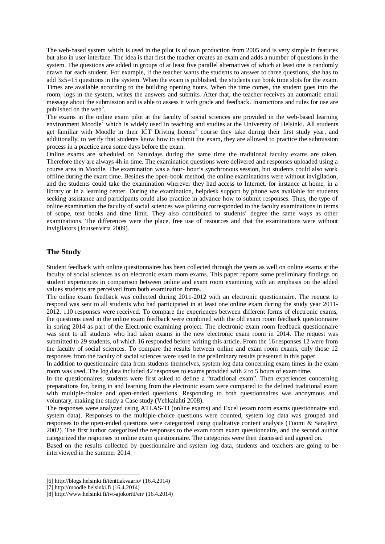The web-based system which is used in the pilot is of own production from 2005 and is very simple in features but also in user interface. The idea is that first the teacher creates an exam and adds a number of questions in the system. The questions are added in groups of at least five parallel alternatives of which at least one is randomly drawn for each student. For example, if the teacher wants the students to answer to three questions, she has to add 3x5=15 questions in the system. When the exam is published, the students can book time slots for the exam. Times are available according to the building opening hours. When the time comes, the student goes into the room, logs in the system, writes the answers and submits. After that, the teacher receives an automatic email message about the submission and is able to assess it with grade and feedback. Instructions and rules for use are published on the web<sup>6</sup>.

The exams in the online exam pilot at the faculty of social sciences are provided in the web-based learning environment Moodle<sup>7</sup> which is widely used in teaching and studies at the University of Helsinki. All students get familiar with Moodle in their ICT Driving license<sup>8</sup> course they take during their first study year, and additionally, to verify that students know how to submit the exam, they are allowed to practice the submission process in a practice area some days before the exam.

Online exams are scheduled on Saturdays during the same time the traditional faculty exams are taken. Therefore they are always 4h in time. The examination questions were delivered and responses uploaded using a course area in Moodle. The examination was a four- hour's synchronous session, but students could also work offline during the exam time. Besides the open-book method, the online examinations were without invigilation, and the students could take the examination wherever they had access to Internet, for instance at home, in a library or in a learning center. During the examination, helpdesk support by phone was available for students seeking assistance and participants could also practice in advance how to submit responses. Thus, the type of online examination the faculty of social sciences was piloting corresponded to the faculty examinations in terms of scope, text books and time limit. They also contributed to students' degree the same ways as other examinations. The differences were the place, free use of resources and that the examinations were without invigilators (Joutsenvirta 2009).

#### **The Study**

Student feedback with online questionnaires has been collected through the years as well on online exams at the faculty of social sciences as on electronic exam room exams. This paper reports some preliminary findings on student experiences in comparison between online and exam room examining with an emphasis on the added values students are perceived from both examination forms.

The online exam feedback was collected during 2011-2012 with an electronic questionnaire. The request to respond was sent to all students who had participated in at least one online exam during the study year 2011- 2012. 110 responses were received. To compare the experiences between different forms of electronic exams, the questions used in the online exam feedback were combined with the old exam room feedback questionnaire in spring 2014 as part of the Electronic examining project. The electronic exam room feedback questionnaire was sent to all students who had taken exams in the new electronic exam room in 2014. The request was submitted to 29 students, of which 16 responded before writing this article. From the 16 responses 12 were from the faculty of social sciences. To compare the results between online and exam room exams, only those 12 responses from the faculty of social sciences were used in the preliminary results presented in this paper.

In addition to questionnaire data from students themselves, system log data concerning exam times in the exam room was used. The log data included 42 responses to exams provided with 2 to 5 hours of exam time.

In the questionnaires, students were first asked to define a "traditional exam". Then experiences concerning preparations for, being in and learning from the electronic exam were compared to the defined traditional exam with multiple-choice and open-ended questions. Responding to both questionnaires was anonymous and voluntary, making the study a Case study (Vehkalahti 2008).

The responses were analyzed using ATLAS-TI (online exams) and Excel (exam room exams questionnaire and system data). Responses to the multiple-choice questions were counted, system log data was grouped and responses to the open-ended questions were categorized using qualitative content analysis (Tuomi & Sarajärvi 2002). The first author categorized the responses to the exam room exam questionnaire, and the second author categorized the responses to online exam questionnaire. The categories were then discussed and agreed on.

Based on the results collected by questionnaire and system log data, students and teachers are going to be interviewed in the summer 2014.

<sup>[6]</sup> http://blogs.helsinki.fi/tenttiakvaario/ (16.4.2014)

<sup>[7]</sup> http://moodle.helsinki.fi (16.4.2014)

<sup>[8]</sup> http://www.helsinki.fi/tvt-ajokortti/en/ (16.4.2014)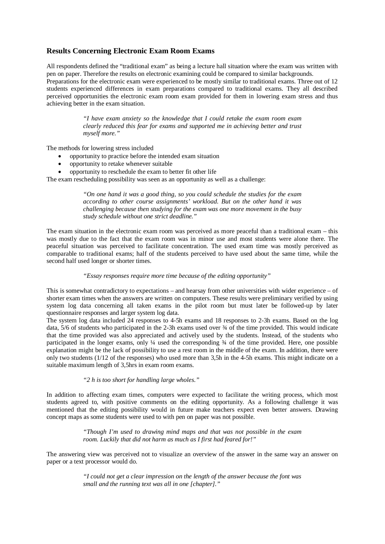# **Results Concerning Electronic Exam Room Exams**

All respondents defined the "traditional exam" as being a lecture hall situation where the exam was written with pen on paper. Therefore the results on electronic examining could be compared to similar backgrounds. Preparations for the electronic exam were experienced to be mostly similar to traditional exams. Three out of 12 students experienced differences in exam preparations compared to traditional exams. They all described perceived opportunities the electronic exam room exam provided for them in lowering exam stress and thus achieving better in the exam situation.

> *"I have exam anxiety so the knowledge that I could retake the exam room exam clearly reduced this fear for exams and supported me in achieving better and trust myself more."*

The methods for lowering stress included

- · opportunity to practice before the intended exam situation
- · opportunity to retake whenever suitable
- · opportunity to reschedule the exam to better fit other life

The exam rescheduling possibility was seen as an opportunity as well as a challenge:

*"On one hand it was a good thing, so you could schedule the studies for the exam according to other course assignments' workload. But on the other hand it was challenging because then studying for the exam was one more movement in the busy study schedule without one strict deadline."*

The exam situation in the electronic exam room was perceived as more peaceful than a traditional exam – this was mostly due to the fact that the exam room was in minor use and most students were alone there. The peaceful situation was perceived to facilitate concentration. The used exam time was mostly perceived as comparable to traditional exams; half of the students perceived to have used about the same time, while the second half used longer or shorter times.

#### *"Essay responses require more time because of the editing opportunity"*

This is somewhat contradictory to expectations – and hearsay from other universities with wider experience – of shorter exam times when the answers are written on computers. These results were preliminary verified by using system log data concerning all taken exams in the pilot room but must later be followed-up by later questionnaire responses and larger system log data.

The system log data included 24 responses to 4-5h exams and 18 responses to 2-3h exams. Based on the log data, 5/6 of students who participated in the 2-3h exams used over ¾ of the time provided. This would indicate that the time provided was also appreciated and actively used by the students. Instead, of the students who participated in the longer exams, only  $\frac{1}{4}$  used the corresponding  $\frac{3}{4}$  of the time provided. Here, one possible explanation might be the lack of possibility to use a rest room in the middle of the exam. In addition, there were only two students (1/12 of the responses) who used more than 3,5h in the 4-5h exams. This might indicate on a suitable maximum length of 3,5hrs in exam room exams.

*"2 h is too short for handling large wholes."*

In addition to affecting exam times, computers were expected to facilitate the writing process, which most students agreed to, with positive comments on the editing opportunity. As a following challenge it was mentioned that the editing possibility would in future make teachers expect even better answers. Drawing concept maps as some students were used to with pen on paper was not possible.

> *"Though I'm used to drawing mind maps and that was not possible in the exam room. Luckily that did not harm as much as I first had feared for!"*

The answering view was perceived not to visualize an overview of the answer in the same way an answer on paper or a text processor would do.

> *"I could not get a clear impression on the length of the answer because the font was small and the running text was all in one [chapter]."*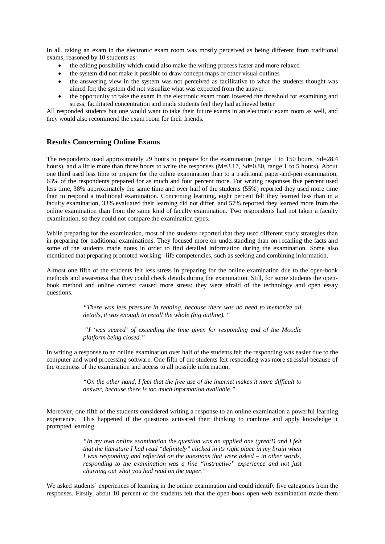In all, taking an exam in the electronic exam room was mostly perceived as being different from traditional exams, reasoned by 10 students as:

- the editing possibility which could also make the writing process faster and more relaxed
- the system did not make it possible to draw concept maps or other visual outlines
- · the answering view in the system was not perceived as facilitative to what the students thought was aimed for; the system did not visualize what was expected from the answer
- the opportunity to take the exam in the electronic exam room lowered the threshold for examining and stress, facilitated concentration and made students feel they had achieved better

All responded students but one would want to take their future exams in an electronic exam room as well, and they would also recommend the exam room for their friends.

### **Results Concerning Online Exams**

The respondents used approximately 29 hours to prepare for the examination (range 1 to 150 hours, Sd=28.4 hours), and a little more than three hours to write the responses (M=3.17, Sd=0.80, range 1 to 5 hours). About one third used less time to prepare for the online examination than to a traditional paper-and-pen examination, 63% of the respondents prepared for as much and four percent more. For writing responses five percent used less time, 38% approximately the same time and over half of the students (55%) reported they used more time than to respond a traditional examination. Concerning learning, eight percent felt they learned less than in a faculty examination, 33% evaluated their learning did not differ, and 57% reported they learned more from the online examination than from the same kind of faculty examination. Two respondents had not taken a faculty examination, so they could not compare the examination types.

While preparing for the examination, most of the students reported that they used different study strategies than in preparing for traditional examinations. They focused more on understanding than on recalling the facts and some of the students made notes in order to find detailed information during the examination. Some also mentioned that preparing promoted working –life competencies, such as seeking and combining information.

Almost one fifth of the students felt less stress in preparing for the online examination due to the open-book methods and awareness that they could check details during the examination. Still, for some students the openbook method and online context caused more stress: they were afraid of the technology and open essay questions.

> *"There was less pressure in reading, because there was no need to memorize all details, it was enough to recall the whole (big outline). "*

> *"I 'was scared' of exceeding the time given for responding and of the Moodle platform being closed."*

In writing a response to an online examination over half of the students felt the responding was easier due to the computer and word processing software. One fifth of the students felt responding was more stressful because of the openness of the examination and access to all possible information.

> *"On the other hand, I feel that the free use of the internet makes it more difficult to answer, because there is too much information available."*

Moreover, one fifth of the students considered writing a response to an online examination a powerful learning experience. This happened if the questions activated their thinking to combine and apply knowledge it prompted learning.

> *"In my own online examination the question was an applied one (great!) and I felt that the literature I had read "definitely" clicked in its right place in my brain when I was responding and reflected on the questions that were asked – in other words, responding to the examination was a fine "instructive" experience and not just churning out what you had read on the paper."*

We asked students' experiences of learning in the online examination and could identify five categories from the responses. Firstly, about 10 percent of the students felt that the open-book open-web examination made them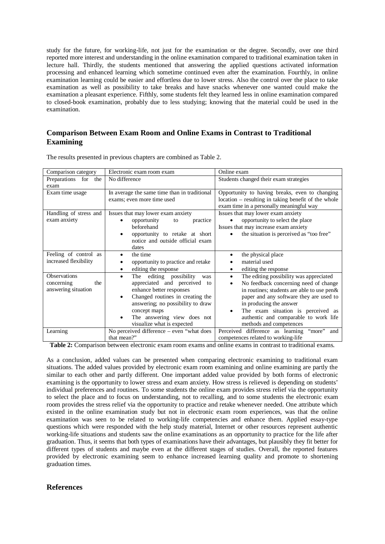study for the future, for working-life, not just for the examination or the degree. Secondly, over one third reported more interest and understanding in the online examination compared to traditional examination taken in lecture hall. Thirdly, the students mentioned that answering the applied questions activated information processing and enhanced learning which sometime continued even after the examination. Fourthly, in online examination learning could be easier and effortless due to lower stress. Also the control over the place to take examination as well as possibility to take breaks and have snacks whenever one wanted could make the examination a pleasant experience. Fifthly, some students felt they learned less in online examination compared to closed-book examination, probably due to less studying; knowing that the material could be used in the examination.

## **Comparison Between Exam Room and Online Exams in Contrast to Traditional Examining**

| Comparison category        | Electronic exam room exam                                                  | Online exam                                                                                           |
|----------------------------|----------------------------------------------------------------------------|-------------------------------------------------------------------------------------------------------|
| Preparations<br>for<br>the | No difference                                                              | Students changed their exam strategies                                                                |
| exam                       |                                                                            |                                                                                                       |
| Exam time usage            | In average the same time than in traditional<br>exams; even more time used | Opportunity to having breaks, even to changing<br>location - resulting in taking benefit of the whole |
|                            |                                                                            | exam time in a personally meaningful way                                                              |
| Handling of stress and     | Issues that may lower exam anxiety                                         | Issues that may lower exam anxiety                                                                    |
| exam anxiety               | opportunity<br>practice<br>to                                              | opportunity to select the place                                                                       |
|                            | beforehand                                                                 | Issues that may increase exam anxiety                                                                 |
|                            | opportunity to retake at short                                             | the situation is perceived as "too free"                                                              |
|                            | notice and outside official exam                                           |                                                                                                       |
|                            | dates                                                                      |                                                                                                       |
| Feeling of control as      | the time                                                                   | the physical place                                                                                    |
| increased flexibility      | opportunity to practice and retake                                         | material used                                                                                         |
|                            | editing the response<br>٠                                                  | editing the response<br>٠                                                                             |
| <b>Observations</b>        | The editing possibility<br>was<br>٠                                        | The editing possibility was appreciated<br>$\bullet$                                                  |
| concerning<br>the          | appreciated and perceived to                                               | No feedback concerning need of change                                                                 |
| answering situation        | enhance better responses                                                   | in routines; students are able to use pen &                                                           |
|                            | Changed routines in creating the<br>٠                                      | paper and any software they are used to                                                               |
|                            | answering; no possibility to draw                                          | in producing the answer                                                                               |
|                            | concept maps                                                               | The exam situation is perceived as                                                                    |
|                            | The answering view does not<br>$\bullet$                                   | authentic and comparable to work life                                                                 |
|                            | visualize what is expected                                                 | methods and competences                                                                               |
| Learning                   | No perceived difference - even "what does                                  | Perceived difference as learning "more"<br>and                                                        |
|                            | that mean?"                                                                | competences related to working-life                                                                   |

The results presented in previous chapters are combined as Table 2.

**Table 2:** Comparison between electronic exam room exams and online exams in contrast to traditional exams.

As a conclusion, added values can be presented when comparing electronic examining to traditional exam situations. The added values provided by electronic exam room examining and online examining are partly the similar to each other and partly different. One important added value provided by both forms of electronic examining is the opportunity to lower stress and exam anxiety. How stress is relieved is depending on students' individual preferences and routines. To some students the online exam provides stress relief via the opportunity to select the place and to focus on understanding, not to recalling, and to some students the electronic exam room provides the stress relief via the opportunity to practice and retake whenever needed. One attribute which existed in the online examination study but not in electronic exam room experiences, was that the online examination was seen to be related to working-life competencies and enhance them. Applied essay-type questions which were responded with the help study material, Internet or other resources represent authentic working-life situations and students saw the online examinations as an opportunity to practice for the life after graduation. Thus, it seems that both types of examinations have their advantages, but plausibly they fit better for different types of students and maybe even at the different stages of studies. Overall, the reported features provided by electronic examining seem to enhance increased learning quality and promote to shortening graduation times.

### **References**